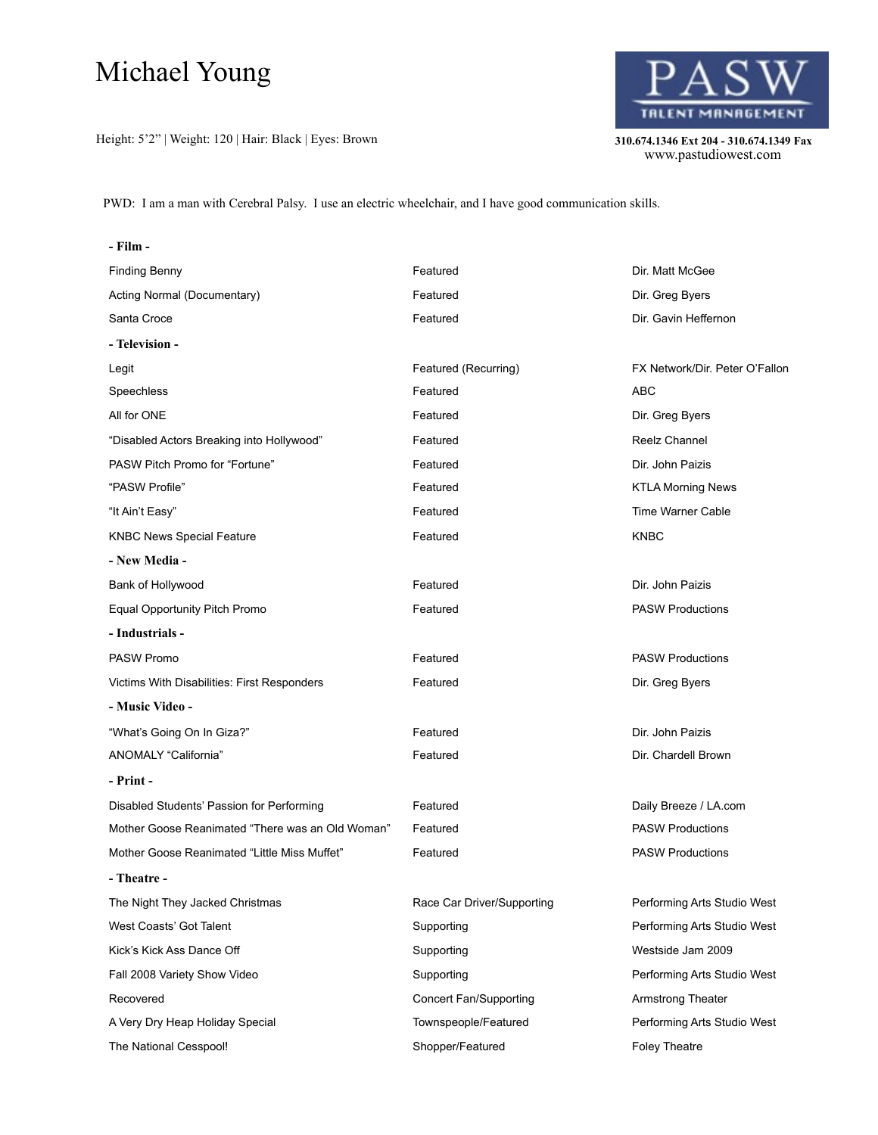## Michael Young

Height: 5'2" | Weight: 120 | Hair: Black | Eyes: Brown **310.674.1346 Ext 204 - 310.674.1349 Fax** 



310.674.1346 Ext 204 - 310.674.1349 Fax<br>www.pastudiowest.com

PWD: I am a man with Cerebral Palsy. I use an electric wheelchair, and I have good communication skills.

**- Film -**

| <b>Finding Benny</b>                             | Featured                   | Dir. Matt McGee                |
|--------------------------------------------------|----------------------------|--------------------------------|
| Acting Normal (Documentary)                      | Featured                   | Dir. Greg Byers                |
| Santa Croce                                      | Featured                   | Dir. Gavin Heffernon           |
| - Television -                                   |                            |                                |
| Legit                                            | Featured (Recurring)       | FX Network/Dir. Peter O'Fallon |
| Speechless                                       | Featured                   | ABC                            |
| All for ONE                                      | Featured                   | Dir. Greg Byers                |
| "Disabled Actors Breaking into Hollywood"        | Featured                   | Reelz Channel                  |
| PASW Pitch Promo for "Fortune"                   | Featured                   | Dir. John Paizis               |
| "PASW Profile"                                   | Featured                   | <b>KTLA Morning News</b>       |
| "It Ain't Easy"                                  | Featured                   | <b>Time Warner Cable</b>       |
| <b>KNBC News Special Feature</b>                 | Featured                   | <b>KNBC</b>                    |
| - New Media -                                    |                            |                                |
| Bank of Hollywood                                | Featured                   | Dir. John Paizis               |
| Equal Opportunity Pitch Promo                    | Featured                   | <b>PASW Productions</b>        |
| - Industrials -                                  |                            |                                |
| <b>PASW Promo</b>                                | Featured                   | <b>PASW Productions</b>        |
| Victims With Disabilities: First Responders      | Featured                   | Dir. Greg Byers                |
| - Music Video -                                  |                            |                                |
| "What's Going On In Giza?"                       | Featured                   | Dir. John Paizis               |
| ANOMALY "California"                             | Featured                   | Dir. Chardell Brown            |
| - Print -                                        |                            |                                |
| Disabled Students' Passion for Performing        | Featured                   | Daily Breeze / LA.com          |
| Mother Goose Reanimated "There was an Old Woman" | Featured                   | <b>PASW Productions</b>        |
| Mother Goose Reanimated "Little Miss Muffet"     | Featured                   | <b>PASW Productions</b>        |
| - Theatre -                                      |                            |                                |
| The Night They Jacked Christmas                  | Race Car Driver/Supporting | Performing Arts Studio West    |
| West Coasts' Got Talent                          | Supporting                 | Performing Arts Studio West    |
| Kick's Kick Ass Dance Off                        | Supporting                 | Westside Jam 2009              |
| Fall 2008 Variety Show Video                     | Supporting                 | Performing Arts Studio West    |
| Recovered                                        | Concert Fan/Supporting     | <b>Armstrong Theater</b>       |
| A Very Dry Heap Holiday Special                  | Townspeople/Featured       | Performing Arts Studio West    |
| The National Cesspool!                           | Shopper/Featured           | Foley Theatre                  |